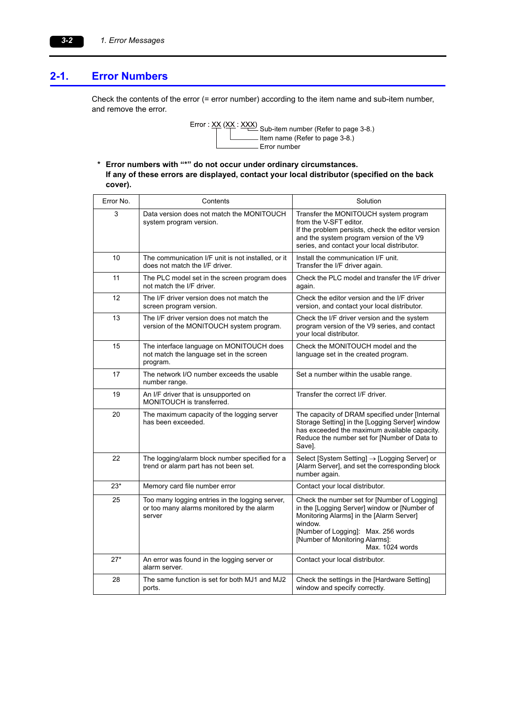## **2-1. Error Numbers**

Check the contents of the error (= error number) according to the item name and sub-item number, and remove the error.



**\* Error numbers with "\*" do not occur under ordinary circumstances. If any of these errors are displayed, contact your local distributor (specified on the back cover).**

| Error No. | Contents                                                                                               | Solution                                                                                                                                                                                                                                        |
|-----------|--------------------------------------------------------------------------------------------------------|-------------------------------------------------------------------------------------------------------------------------------------------------------------------------------------------------------------------------------------------------|
| 3         | Data version does not match the MONITOUCH<br>system program version.                                   | Transfer the MONITOUCH system program<br>from the V-SFT editor.<br>If the problem persists, check the editor version<br>and the system program version of the V9<br>series, and contact your local distributor.                                 |
| 10        | The communication I/F unit is not installed, or it<br>does not match the I/F driver.                   | Install the communication I/F unit.<br>Transfer the I/F driver again.                                                                                                                                                                           |
| 11        | The PLC model set in the screen program does<br>not match the I/F driver.                              | Check the PLC model and transfer the I/F driver<br>again.                                                                                                                                                                                       |
| 12        | The I/F driver version does not match the<br>screen program version.                                   | Check the editor version and the I/F driver<br>version, and contact your local distributor.                                                                                                                                                     |
| 13        | The I/F driver version does not match the<br>version of the MONITOUCH system program.                  | Check the I/F driver version and the system<br>program version of the V9 series, and contact<br>vour local distributor.                                                                                                                         |
| 15        | The interface language on MONITOUCH does<br>not match the language set in the screen<br>program.       | Check the MONITOUCH model and the<br>language set in the created program.                                                                                                                                                                       |
| 17        | The network I/O number exceeds the usable<br>number range.                                             | Set a number within the usable range.                                                                                                                                                                                                           |
| 19        | An I/F driver that is unsupported on<br>MONITOUCH is transferred.                                      | Transfer the correct I/F driver.                                                                                                                                                                                                                |
| 20        | The maximum capacity of the logging server<br>has been exceeded.                                       | The capacity of DRAM specified under [Internal<br>Storage Setting] in the [Logging Server] window<br>has exceeded the maximum available capacity.<br>Reduce the number set for [Number of Data to<br>Save].                                     |
| 22        | The logging/alarm block number specified for a<br>trend or alarm part has not been set.                | Select [System Setting] $\rightarrow$ [Logging Server] or<br>[Alarm Server], and set the corresponding block<br>number again.                                                                                                                   |
| $23*$     | Memory card file number error                                                                          | Contact your local distributor.                                                                                                                                                                                                                 |
| 25        | Too many logging entries in the logging server,<br>or too many alarms monitored by the alarm<br>server | Check the number set for [Number of Logging]<br>in the [Logging Server] window or [Number of<br>Monitoring Alarms] in the [Alarm Server]<br>window.<br>[Number of Logging]: Max. 256 words<br>[Number of Monitoring Alarms]:<br>Max. 1024 words |
| $27*$     | An error was found in the logging server or<br>alarm server.                                           | Contact your local distributor.                                                                                                                                                                                                                 |
| 28        | The same function is set for both MJ1 and MJ2<br>ports.                                                | Check the settings in the [Hardware Setting]<br>window and specify correctly.                                                                                                                                                                   |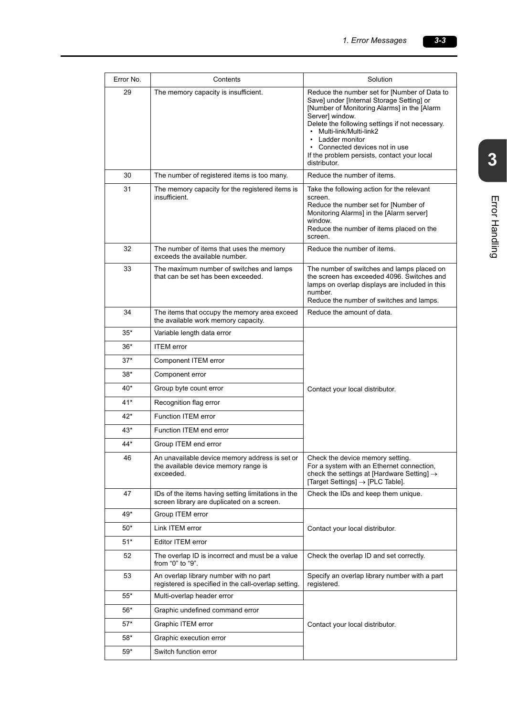| Error No. | Contents                                                                                           | Solution                                                                                                                                                                                                                                                                                                                                                        |
|-----------|----------------------------------------------------------------------------------------------------|-----------------------------------------------------------------------------------------------------------------------------------------------------------------------------------------------------------------------------------------------------------------------------------------------------------------------------------------------------------------|
| 29        | The memory capacity is insufficient.                                                               | Reduce the number set for [Number of Data to<br>Save] under [Internal Storage Setting] or<br>[Number of Monitoring Alarms] in the [Alarm<br>Server] window.<br>Delete the following settings if not necessary.<br>• Multi-link/Multi-link2<br>• Ladder monitor<br>• Connected devices not in use<br>If the problem persists, contact your local<br>distributor. |
| 30        | The number of registered items is too many.                                                        | Reduce the number of items.                                                                                                                                                                                                                                                                                                                                     |
| 31        | The memory capacity for the registered items is<br>insufficient.                                   | Take the following action for the relevant<br>screen.<br>Reduce the number set for [Number of<br>Monitoring Alarms] in the [Alarm server]<br>window.<br>Reduce the number of items placed on the<br>screen.                                                                                                                                                     |
| 32        | The number of items that uses the memory<br>exceeds the available number.                          | Reduce the number of items.                                                                                                                                                                                                                                                                                                                                     |
| 33        | The maximum number of switches and lamps<br>that can be set has been exceeded.                     | The number of switches and lamps placed on<br>the screen has exceeded 4096. Switches and<br>lamps on overlap displays are included in this<br>number.<br>Reduce the number of switches and lamps.                                                                                                                                                               |
| 34        | The items that occupy the memory area exceed<br>the available work memory capacity.                | Reduce the amount of data.                                                                                                                                                                                                                                                                                                                                      |
| $35*$     | Variable length data error                                                                         |                                                                                                                                                                                                                                                                                                                                                                 |
| $36*$     | <b>ITEM</b> error                                                                                  |                                                                                                                                                                                                                                                                                                                                                                 |
| $37*$     | Component ITEM error                                                                               |                                                                                                                                                                                                                                                                                                                                                                 |
| $38*$     | Component error                                                                                    |                                                                                                                                                                                                                                                                                                                                                                 |
| 40*       | Group byte count error                                                                             | Contact your local distributor.                                                                                                                                                                                                                                                                                                                                 |
| $41*$     | Recognition flag error                                                                             |                                                                                                                                                                                                                                                                                                                                                                 |
| 42*       | <b>Function ITEM error</b>                                                                         |                                                                                                                                                                                                                                                                                                                                                                 |
| $43*$     | Function ITEM end error                                                                            |                                                                                                                                                                                                                                                                                                                                                                 |
| 44*       | Group ITEM end error                                                                               |                                                                                                                                                                                                                                                                                                                                                                 |
| 46        | An unavailable device memory address is set or<br>the available device memory range is<br>hebeenxe | Check the device memory setting.<br>For a system with an Ethernet connection,<br>check the settings at [Hardware Setting] $\rightarrow$<br>$\lceil \text{Target Settings} \rceil \rightarrow \lceil \text{PLC Table} \rceil$ .                                                                                                                                  |
| 47        | IDs of the items having setting limitations in the<br>screen library are duplicated on a screen.   | Check the IDs and keep them unique.                                                                                                                                                                                                                                                                                                                             |
| 49*       | Group ITEM error                                                                                   |                                                                                                                                                                                                                                                                                                                                                                 |
| $50*$     | Link ITEM error                                                                                    | Contact your local distributor.                                                                                                                                                                                                                                                                                                                                 |
| $51*$     | Editor ITEM error                                                                                  |                                                                                                                                                                                                                                                                                                                                                                 |
| 52        | The overlap ID is incorrect and must be a value<br>from "0" to "9".                                | Check the overlap ID and set correctly.                                                                                                                                                                                                                                                                                                                         |
| 53        | An overlap library number with no part<br>registered is specified in the call-overlap setting.     | Specify an overlap library number with a part<br>registered.                                                                                                                                                                                                                                                                                                    |
| 55*       | Multi-overlap header error                                                                         |                                                                                                                                                                                                                                                                                                                                                                 |
| $56*$     | Graphic undefined command error                                                                    |                                                                                                                                                                                                                                                                                                                                                                 |
| $57*$     | Graphic ITEM error                                                                                 | Contact your local distributor.                                                                                                                                                                                                                                                                                                                                 |
| $58*$     | Graphic execution error                                                                            |                                                                                                                                                                                                                                                                                                                                                                 |
| $59*$     | Switch function error                                                                              |                                                                                                                                                                                                                                                                                                                                                                 |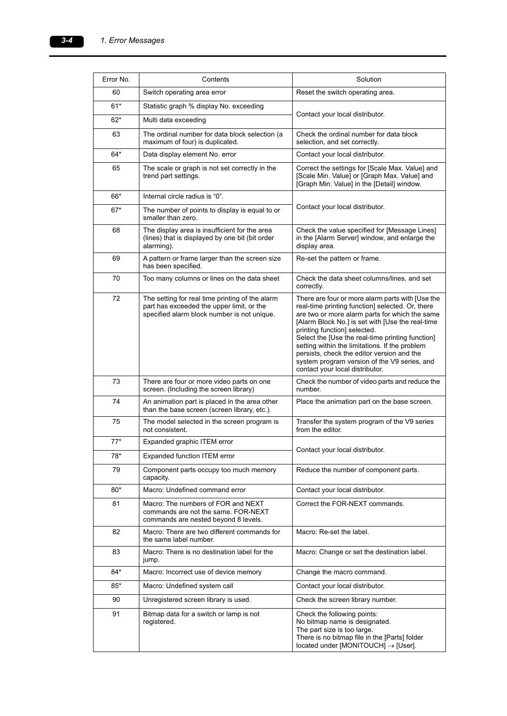| Error No. | Contents                                                                                                                                    | Solution                                                                                                                                                                                                                                                                                                                                                                                                                                                                          |
|-----------|---------------------------------------------------------------------------------------------------------------------------------------------|-----------------------------------------------------------------------------------------------------------------------------------------------------------------------------------------------------------------------------------------------------------------------------------------------------------------------------------------------------------------------------------------------------------------------------------------------------------------------------------|
| 60        | Switch operating area error                                                                                                                 | Reset the switch operating area.                                                                                                                                                                                                                                                                                                                                                                                                                                                  |
| $61*$     | Statistic graph % display No. exceeding                                                                                                     |                                                                                                                                                                                                                                                                                                                                                                                                                                                                                   |
| $62*$     | Multi data exceeding                                                                                                                        | Contact your local distributor.                                                                                                                                                                                                                                                                                                                                                                                                                                                   |
| 63        | The ordinal number for data block selection (a<br>maximum of four) is duplicated.                                                           | Check the ordinal number for data block<br>selection, and set correctly.                                                                                                                                                                                                                                                                                                                                                                                                          |
| $64*$     | Data display element No. error                                                                                                              | Contact your local distributor.                                                                                                                                                                                                                                                                                                                                                                                                                                                   |
| 65        | The scale or graph is not set correctly in the<br>trend part settings.                                                                      | Correct the settings for [Scale Max. Value] and<br>[Scale Min. Value] or [Graph Max. Value] and<br>[Graph Min. Value] in the [Detail] window.                                                                                                                                                                                                                                                                                                                                     |
| 66*       | Internal circle radius is "0".                                                                                                              |                                                                                                                                                                                                                                                                                                                                                                                                                                                                                   |
| $67*$     | The number of points to display is equal to or<br>smaller than zero.                                                                        | Contact your local distributor.                                                                                                                                                                                                                                                                                                                                                                                                                                                   |
| 68        | The display area is insufficient for the area<br>(lines) that is displayed by one bit (bit order<br>alarming).                              | Check the value specified for [Message Lines]<br>in the [Alarm Server] window, and enlarge the<br>display area.                                                                                                                                                                                                                                                                                                                                                                   |
| 69        | A pattern or frame larger than the screen size<br>has been specified.                                                                       | Re-set the pattern or frame.                                                                                                                                                                                                                                                                                                                                                                                                                                                      |
| 70        | Too many columns or lines on the data sheet                                                                                                 | Check the data sheet columns/lines, and set<br>correctly.                                                                                                                                                                                                                                                                                                                                                                                                                         |
| 72        | The setting for real time printing of the alarm<br>part has exceeded the upper limit, or the<br>specified alarm block number is not unique. | There are four or more alarm parts with [Use the<br>real-time printing function] selected. Or, there<br>are two or more alarm parts for which the same<br>[Alarm Block No.] is set with [Use the real-time<br>printing function] selected.<br>Select the [Use the real-time printing function]<br>setting within the limitations. If the problem<br>persists, check the editor version and the<br>system program version of the V9 series, and<br>contact your local distributor. |
| 73        | There are four or more video parts on one<br>screen. (Including the screen library)                                                         | Check the number of video parts and reduce the<br>number.                                                                                                                                                                                                                                                                                                                                                                                                                         |
| 74        | An animation part is placed in the area other<br>than the base screen (screen library, etc.).                                               | Place the animation part on the base screen.                                                                                                                                                                                                                                                                                                                                                                                                                                      |
| 75        | The model selected in the screen program is<br>not consistent.                                                                              | Transfer the system program of the V9 series<br>from the editor.                                                                                                                                                                                                                                                                                                                                                                                                                  |
| $77*$     | Expanded graphic ITEM error                                                                                                                 |                                                                                                                                                                                                                                                                                                                                                                                                                                                                                   |
| 78*       | Expanded function ITEM error                                                                                                                | Contact your local distributor.                                                                                                                                                                                                                                                                                                                                                                                                                                                   |
| 79        | Component parts occupy too much memory<br>capacity.                                                                                         | Reduce the number of component parts.                                                                                                                                                                                                                                                                                                                                                                                                                                             |
| $80*$     | Macro: Undefined command error                                                                                                              | Contact your local distributor.                                                                                                                                                                                                                                                                                                                                                                                                                                                   |
| 81        | Macro: The numbers of FOR and NEXT<br>commands are not the same. FOR-NEXT<br>commands are nested beyond 8 levels.                           | Correct the FOR-NEXT commands.                                                                                                                                                                                                                                                                                                                                                                                                                                                    |
| 82        | Macro: There are two different commands for<br>the same label number.                                                                       | Macro: Re-set the label.                                                                                                                                                                                                                                                                                                                                                                                                                                                          |
| 83        | Macro: There is no destination label for the<br>jump.                                                                                       | Macro: Change or set the destination label.                                                                                                                                                                                                                                                                                                                                                                                                                                       |
| 84*       | Macro: Incorrect use of device memory                                                                                                       | Change the macro command.                                                                                                                                                                                                                                                                                                                                                                                                                                                         |
| $85*$     | Macro: Undefined system call                                                                                                                | Contact your local distributor.                                                                                                                                                                                                                                                                                                                                                                                                                                                   |
| 90        | Unregistered screen library is used.                                                                                                        | Check the screen library number.                                                                                                                                                                                                                                                                                                                                                                                                                                                  |
| 91        | Bitmap data for a switch or lamp is not<br>registered.                                                                                      | Check the following points:<br>No bitmap name is designated.<br>The part size is too large.<br>There is no bitmap file in the [Parts] folder<br>located under [MONITOUCH] $\rightarrow$ [User].                                                                                                                                                                                                                                                                                   |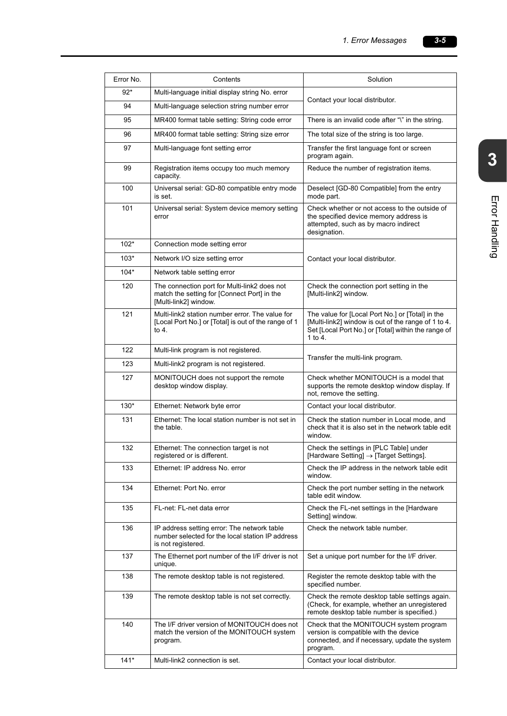| Error No. | Contents                                                                                                              | Solution                                                                                                                                                                  |
|-----------|-----------------------------------------------------------------------------------------------------------------------|---------------------------------------------------------------------------------------------------------------------------------------------------------------------------|
| $92*$     | Multi-language initial display string No. error                                                                       |                                                                                                                                                                           |
| 94        | Multi-language selection string number error                                                                          | Contact your local distributor.                                                                                                                                           |
| 95        | MR400 format table setting: String code error                                                                         | There is an invalid code after "\" in the string.                                                                                                                         |
| 96        | MR400 format table setting: String size error                                                                         | The total size of the string is too large.                                                                                                                                |
| 97        | Multi-language font setting error                                                                                     | Transfer the first language font or screen<br>program again.                                                                                                              |
| 99        | Registration items occupy too much memory<br>capacity.                                                                | Reduce the number of registration items.                                                                                                                                  |
| 100       | Universal serial: GD-80 compatible entry mode<br>is set.                                                              | Deselect [GD-80 Compatible] from the entry<br>mode part.                                                                                                                  |
| 101       | Universal serial: System device memory setting<br>error                                                               | Check whether or not access to the outside of<br>the specified device memory address is<br>attempted, such as by macro indirect<br>designation.                           |
| $102*$    | Connection mode setting error                                                                                         |                                                                                                                                                                           |
| $103*$    | Network I/O size setting error                                                                                        | Contact your local distributor.                                                                                                                                           |
| $104*$    | Network table setting error                                                                                           |                                                                                                                                                                           |
| 120       | The connection port for Multi-link2 does not<br>match the setting for [Connect Port] in the<br>[Multi-link2] window.  | Check the connection port setting in the<br>[Multi-link2] window.                                                                                                         |
| 121       | Multi-link2 station number error. The value for<br>[Local Port No.] or [Total] is out of the range of 1<br>to 4.      | The value for [Local Port No.] or [Total] in the<br>[Multi-link2] window is out of the range of 1 to 4.<br>Set [Local Port No.] or [Total] within the range of<br>1 to 4. |
| 122       | Multi-link program is not registered.                                                                                 |                                                                                                                                                                           |
| 123       | Multi-link2 program is not registered.                                                                                | Transfer the multi-link program.                                                                                                                                          |
| 127       | MONITOUCH does not support the remote<br>desktop window display.                                                      | Check whether MONITOUCH is a model that<br>supports the remote desktop window display. If<br>not, remove the setting.                                                     |
| $130*$    | Ethernet: Network byte error                                                                                          | Contact your local distributor.                                                                                                                                           |
| 131       | Ethernet: The local station number is not set in<br>the table.                                                        | Check the station number in Local mode, and<br>check that it is also set in the network table edit<br>window.                                                             |
| 132       | Ethernet: The connection target is not<br>registered or is different.                                                 | Check the settings in [PLC Table] under<br>[Hardware Setting] $\rightarrow$ [Target Settings].                                                                            |
| 133       | Ethernet: IP address No. error                                                                                        | Check the IP address in the network table edit<br>window.                                                                                                                 |
| 134       | Ethernet: Port No. error                                                                                              | Check the port number setting in the network<br>table edit window.                                                                                                        |
| 135       | FL-net: FL-net data error                                                                                             | Check the FL-net settings in the [Hardware<br>Setting] window.                                                                                                            |
| 136       | IP address setting error: The network table<br>number selected for the local station IP address<br>is not registered. | Check the network table number.                                                                                                                                           |
| 137       | The Ethernet port number of the I/F driver is not<br>unique.                                                          | Set a unique port number for the I/F driver.                                                                                                                              |
| 138       | The remote desktop table is not registered.                                                                           | Register the remote desktop table with the<br>specified number.                                                                                                           |
| 139       | The remote desktop table is not set correctly.                                                                        | Check the remote desktop table settings again.<br>(Check, for example, whether an unregistered<br>remote desktop table number is specified.)                              |
| 140       | The I/F driver version of MONITOUCH does not<br>match the version of the MONITOUCH system<br>program.                 | Check that the MONITOUCH system program<br>version is compatible with the device<br>connected, and if necessary, update the system<br>program.                            |
| $141*$    | Multi-link2 connection is set.                                                                                        | Contact your local distributor.                                                                                                                                           |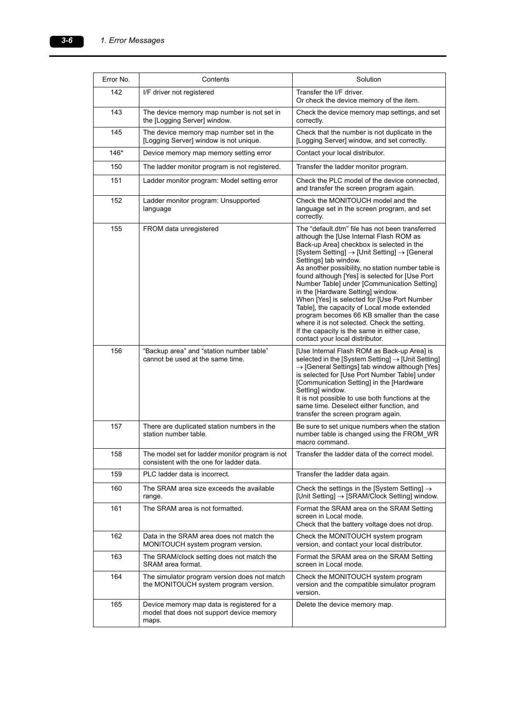| Error No. | Contents                                                                                         | Solution                                                                                                                                                                                                                                                                                                                                                                                                                                                                                                                                                                                                                                                                                                           |
|-----------|--------------------------------------------------------------------------------------------------|--------------------------------------------------------------------------------------------------------------------------------------------------------------------------------------------------------------------------------------------------------------------------------------------------------------------------------------------------------------------------------------------------------------------------------------------------------------------------------------------------------------------------------------------------------------------------------------------------------------------------------------------------------------------------------------------------------------------|
|           |                                                                                                  |                                                                                                                                                                                                                                                                                                                                                                                                                                                                                                                                                                                                                                                                                                                    |
| 142       | I/F driver not registered                                                                        | Transfer the I/F driver.<br>Or check the device memory of the item.                                                                                                                                                                                                                                                                                                                                                                                                                                                                                                                                                                                                                                                |
| 143       | The device memory map number is not set in<br>the [Logging Server] window.                       | Check the device memory map settings, and set<br>correctly.                                                                                                                                                                                                                                                                                                                                                                                                                                                                                                                                                                                                                                                        |
| 145       | The device memory map number set in the<br>[Logging Server] window is not unique.                | Check that the number is not duplicate in the<br>[Logging Server] window, and set correctly.                                                                                                                                                                                                                                                                                                                                                                                                                                                                                                                                                                                                                       |
| 146*      | Device memory map memory setting error                                                           | Contact your local distributor.                                                                                                                                                                                                                                                                                                                                                                                                                                                                                                                                                                                                                                                                                    |
| 150       | The ladder monitor program is not registered.                                                    | Transfer the ladder monitor program.                                                                                                                                                                                                                                                                                                                                                                                                                                                                                                                                                                                                                                                                               |
| 151       | Ladder monitor program: Model setting error                                                      | Check the PLC model of the device connected,<br>and transfer the screen program again.                                                                                                                                                                                                                                                                                                                                                                                                                                                                                                                                                                                                                             |
| 152       | Ladder monitor program: Unsupported<br>language                                                  | Check the MONITOUCH model and the<br>language set in the screen program, and set<br>correctly.                                                                                                                                                                                                                                                                                                                                                                                                                                                                                                                                                                                                                     |
| 155       | FROM data unregistered                                                                           | The "default.dtm" file has not been transferred<br>although the [Use Internal Flash ROM as<br>Back-up Area] checkbox is selected in the<br>$[System Setting] \rightarrow [Unit Setting] \rightarrow [General]$<br>Settings] tab window.<br>As another possibility, no station number table is<br>found although [Yes] is selected for [Use Port<br>Number Table] under [Communication Setting]<br>in the [Hardware Setting] window.<br>When [Yes] is selected for [Use Port Number<br>Table], the capacity of Local mode extended<br>program becomes 66 KB smaller than the case<br>where it is not selected. Check the setting.<br>If the capacity is the same in either case,<br>contact your local distributor. |
| 156       | "Backup area" and "station number table"<br>cannot be used at the same time.                     | [Use Internal Flash ROM as Back-up Area] is<br>selected in the [System Setting] $\rightarrow$ [Unit Setting]<br>$\rightarrow$ [General Settings] tab window although [Yes]<br>is selected for [Use Port Number Table] under<br>[Communication Setting] in the [Hardware<br>Setting] window.<br>It is not possible to use both functions at the<br>same time. Deselect either function, and<br>transfer the screen program again.                                                                                                                                                                                                                                                                                   |
| 157       | There are duplicated station numbers in the<br>station number table.                             | Be sure to set unique numbers when the station<br>number table is changed using the FROM WR<br>macro command.                                                                                                                                                                                                                                                                                                                                                                                                                                                                                                                                                                                                      |
| 158       | The model set for ladder monitor program is not<br>consistent with the one for ladder data.      | Transfer the ladder data of the correct model.                                                                                                                                                                                                                                                                                                                                                                                                                                                                                                                                                                                                                                                                     |
| 159       | PLC ladder data is incorrect.                                                                    | Transfer the ladder data again.                                                                                                                                                                                                                                                                                                                                                                                                                                                                                                                                                                                                                                                                                    |
| 160       | The SRAM area size exceeds the available<br>range.                                               | Check the settings in the [System Setting] $\rightarrow$<br>[Unit Setting] $\rightarrow$ [SRAM/Clock Setting] window.                                                                                                                                                                                                                                                                                                                                                                                                                                                                                                                                                                                              |
| 161       | The SRAM area is not formatted.                                                                  | Format the SRAM area on the SRAM Setting<br>screen in Local mode.<br>Check that the battery voltage does not drop.                                                                                                                                                                                                                                                                                                                                                                                                                                                                                                                                                                                                 |
| 162       | Data in the SRAM area does not match the<br>MONITOUCH system program version.                    | Check the MONITOUCH system program<br>version, and contact your local distributor.                                                                                                                                                                                                                                                                                                                                                                                                                                                                                                                                                                                                                                 |
| 163       | The SRAM/clock setting does not match the<br>SRAM area format.                                   | Format the SRAM area on the SRAM Setting<br>screen in Local mode.                                                                                                                                                                                                                                                                                                                                                                                                                                                                                                                                                                                                                                                  |
| 164       | The simulator program version does not match<br>the MONITOUCH system program version.            | Check the MONITOUCH system program<br>version and the compatible simulator program<br>version.                                                                                                                                                                                                                                                                                                                                                                                                                                                                                                                                                                                                                     |
| 165       | Device memory map data is registered for a<br>model that does not support device memory<br>maps. | Delete the device memory map.                                                                                                                                                                                                                                                                                                                                                                                                                                                                                                                                                                                                                                                                                      |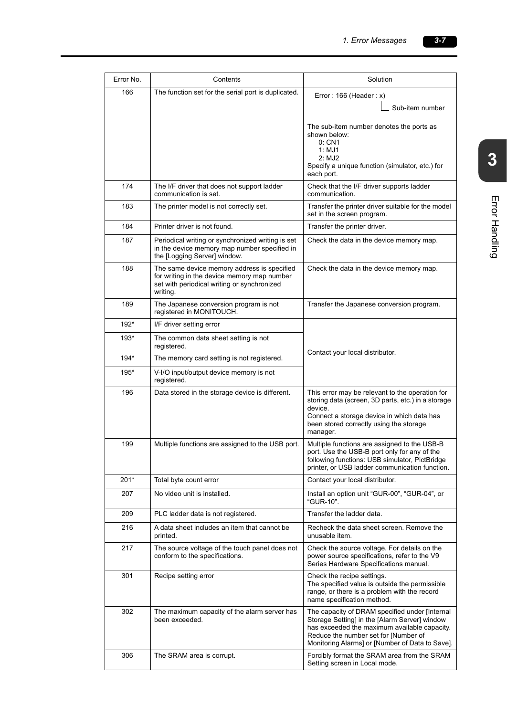| Error No. | Contents                                                                                                                                              | Solution                                                                                                                                                                                                              |
|-----------|-------------------------------------------------------------------------------------------------------------------------------------------------------|-----------------------------------------------------------------------------------------------------------------------------------------------------------------------------------------------------------------------|
| 166       | The function set for the serial port is duplicated.                                                                                                   | Error: $166$ (Header: x)<br>Sub-item number                                                                                                                                                                           |
|           |                                                                                                                                                       | The sub-item number denotes the ports as<br>shown below:<br>0: CN1<br>1: MJ1<br>2: MJ2<br>Specify a unique function (simulator, etc.) for<br>each port.                                                               |
| 174       | The I/F driver that does not support ladder<br>communication is set.                                                                                  | Check that the I/F driver supports ladder<br>communication.                                                                                                                                                           |
| 183       | The printer model is not correctly set.                                                                                                               | Transfer the printer driver suitable for the model<br>set in the screen program.                                                                                                                                      |
| 184       | Printer driver is not found.                                                                                                                          | Transfer the printer driver.                                                                                                                                                                                          |
| 187       | Periodical writing or synchronized writing is set<br>in the device memory map number specified in<br>the [Logging Server] window.                     | Check the data in the device memory map.                                                                                                                                                                              |
| 188       | The same device memory address is specified<br>for writing in the device memory map number<br>set with periodical writing or synchronized<br>writing. | Check the data in the device memory map.                                                                                                                                                                              |
| 189       | The Japanese conversion program is not<br>registered in MONITOUCH.                                                                                    | Transfer the Japanese conversion program.                                                                                                                                                                             |
| $192*$    | I/F driver setting error                                                                                                                              |                                                                                                                                                                                                                       |
| $193*$    | The common data sheet setting is not<br>registered.                                                                                                   | Contact your local distributor.                                                                                                                                                                                       |
| $194*$    | The memory card setting is not registered.                                                                                                            |                                                                                                                                                                                                                       |
| $195*$    | V-I/O input/output device memory is not<br>registered.                                                                                                |                                                                                                                                                                                                                       |
| 196       | Data stored in the storage device is different.                                                                                                       | This error may be relevant to the operation for<br>storing data (screen, 3D parts, etc.) in a storage<br>device.<br>Connect a storage device in which data has<br>been stored correctly using the storage<br>manager. |
| 199       | Multiple functions are assigned to the USB port.                                                                                                      | Multiple functions are assigned to the USB-B<br>port. Use the USB-B port only for any of the<br>following functions: USB simulator, PictBridge<br>printer, or USB ladder communication function.                      |
| 201*      | Total byte count error                                                                                                                                | Contact your local distributor.                                                                                                                                                                                       |
| 207       | No video unit is installed.                                                                                                                           | Install an option unit "GUR-00", "GUR-04", or<br>"GUR-10".                                                                                                                                                            |

name specification method.

Setting screen in Local mode.

306 The SRAM area is corrupt. Forcibly format the SRAM area from the SRAM

The capacity of DRAM specified under [Internal Storage Setting] in the [Alarm Server] window has exceeded the maximum available capacity. Reduce the number set for [Number of Monitoring Alarms] or [Number of Data to Save].

302 The maximum capacity of the alarm server has

been exceeded.

|        |                                                                                                                                                       | The sub-item number denotes the ports as<br>shown below:<br>0: CN1<br>1: MJ1<br>2: MJ2<br>Specify a unique function (simulator, etc.) for<br>each port.                                                               |
|--------|-------------------------------------------------------------------------------------------------------------------------------------------------------|-----------------------------------------------------------------------------------------------------------------------------------------------------------------------------------------------------------------------|
| 174    | The I/F driver that does not support ladder<br>communication is set.                                                                                  | Check that the I/F driver supports ladder<br>communication.                                                                                                                                                           |
| 183    | The printer model is not correctly set.                                                                                                               | Transfer the printer driver suitable for the model<br>set in the screen program.                                                                                                                                      |
| 184    | Printer driver is not found.                                                                                                                          | Transfer the printer driver.                                                                                                                                                                                          |
| 187    | Periodical writing or synchronized writing is set<br>in the device memory map number specified in<br>the [Logging Server] window.                     | Check the data in the device memory map.                                                                                                                                                                              |
| 188    | The same device memory address is specified<br>for writing in the device memory map number<br>set with periodical writing or synchronized<br>writing. | Check the data in the device memory map.                                                                                                                                                                              |
| 189    | The Japanese conversion program is not<br>registered in MONITOUCH.                                                                                    | Transfer the Japanese conversion program.                                                                                                                                                                             |
| 192*   | I/F driver setting error                                                                                                                              |                                                                                                                                                                                                                       |
| 193*   | The common data sheet setting is not<br>registered.                                                                                                   |                                                                                                                                                                                                                       |
| $194*$ | The memory card setting is not registered.                                                                                                            | Contact your local distributor.                                                                                                                                                                                       |
| 195*   | V-I/O input/output device memory is not<br>registered.                                                                                                |                                                                                                                                                                                                                       |
| 196    | Data stored in the storage device is different.                                                                                                       | This error may be relevant to the operation for<br>storing data (screen, 3D parts, etc.) in a storage<br>device.<br>Connect a storage device in which data has<br>been stored correctly using the storage<br>manager. |
| 199    | Multiple functions are assigned to the USB port.                                                                                                      | Multiple functions are assigned to the USB-B<br>port. Use the USB-B port only for any of the<br>following functions: USB simulator, PictBridge<br>printer, or USB ladder communication function.                      |
| 201*   | Total byte count error                                                                                                                                | Contact your local distributor.                                                                                                                                                                                       |
| 207    | No video unit is installed.                                                                                                                           | Install an option unit "GUR-00", "GUR-04", or<br>"GUR-10".                                                                                                                                                            |
| 209    | PLC ladder data is not registered.                                                                                                                    | Transfer the ladder data.                                                                                                                                                                                             |
| 216    | A data sheet includes an item that cannot be<br>printed.                                                                                              | Recheck the data sheet screen. Remove the<br>unusable item.                                                                                                                                                           |
| 217    | The source voltage of the touch panel does not<br>conform to the specifications.                                                                      | Check the source voltage. For details on the<br>power source specifications, refer to the V9<br>Series Hardware Specifications manual.                                                                                |
| 301    | Recipe setting error                                                                                                                                  | Check the recipe settings.<br>The specified value is outside the permissible<br>range, or there is a problem with the record                                                                                          |